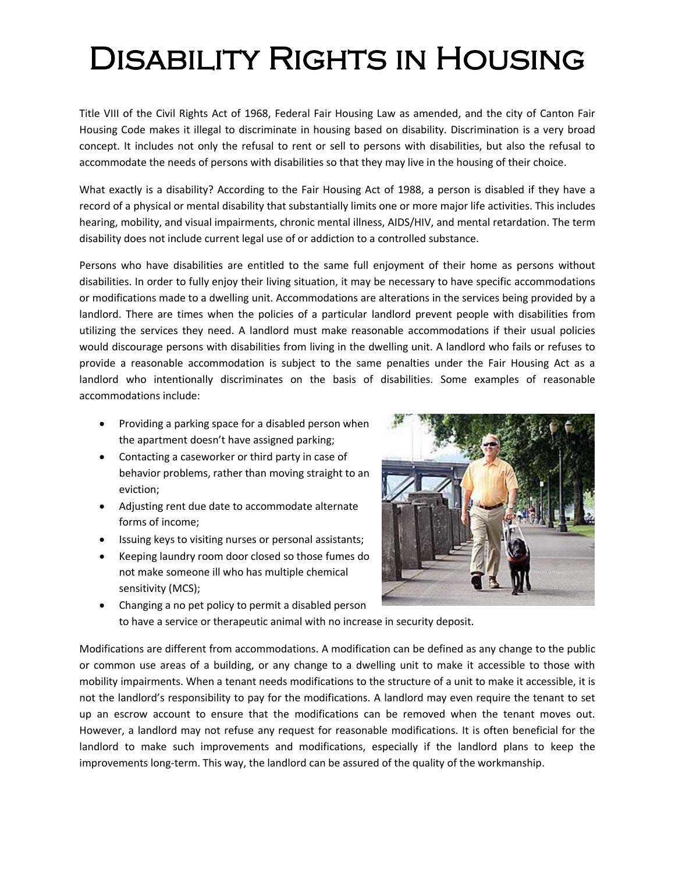## Disability Rights in Housing

Title VIII of the Civil Rights Act of 1968, Federal Fair Housing Law as amended, and the city of Canton Fair Housing Code makes it illegal to discriminate in housing based on disability. Discrimination is a very broad concept. It includes not only the refusal to rent or sell to persons with disabilities, but also the refusal to accommodate the needs of persons with disabilities so that they may live in the housing of their choice.

What exactly is a disability? According to the Fair Housing Act of 1988, a person is disabled if they have a record of a physical or mental disability that substantially limits one or more major life activities. This includes hearing, mobility, and visual impairments, chronic mental illness, AIDS/HIV, and mental retardation. The term disability does not include current legal use of or addiction to a controlled substance.

Persons who have disabilities are entitled to the same full enjoyment of their home as persons without disabilities. In order to fully enjoy their living situation, it may be necessary to have specific accommodations or modifications made to a dwelling unit. Accommodations are alterations in the services being provided by a landlord. There are times when the policies of a particular landlord prevent people with disabilities from utilizing the services they need. A landlord must make reasonable accommodations if their usual policies would discourage persons with disabilities from living in the dwelling unit. A landlord who fails or refuses to provide a reasonable accommodation is subject to the same penalties under the Fair Housing Act as a landlord who intentionally discriminates on the basis of disabilities. Some examples of reasonable accommodations include:

- Providing a parking space for a disabled person when the apartment doesn't have assigned parking;
- Contacting a caseworker or third party in case of behavior problems, rather than moving straight to an eviction;
- Adjusting rent due date to accommodate alternate forms of income;
- Issuing keys to visiting nurses or personal assistants;
- Keeping laundry room door closed so those fumes do not make someone ill who has multiple chemical sensitivity (MCS);
- 
- Changing a no pet policy to permit a disabled person to have a service or therapeutic animal with no increase in security deposit.

Modifications are different from accommodations. A modification can be defined as any change to the public or common use areas of a building, or any change to a dwelling unit to make it accessible to those with mobility impairments. When a tenant needs modifications to the structure of a unit to make it accessible, it is not the landlord's responsibility to pay for the modifications. A landlord may even require the tenant to set up an escrow account to ensure that the modifications can be removed when the tenant moves out. However, a landlord may not refuse any request for reasonable modifications. It is often beneficial for the landlord to make such improvements and modifications, especially if the landlord plans to keep the improvements long-term. This way, the landlord can be assured of the quality of the workmanship.